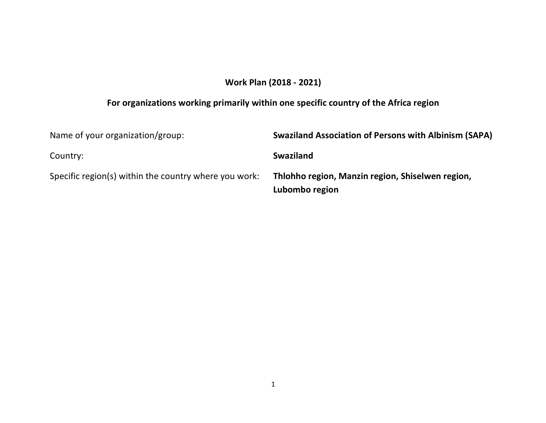# **Work Plan (2018 - 2021)**

# **For organizations working primarily within one specific country of the Africa region**

| Name of your organization/group:                      | <b>Swaziland Association of Persons with Albinism (SAPA)</b>       |
|-------------------------------------------------------|--------------------------------------------------------------------|
| Country:                                              | <b>Swaziland</b>                                                   |
| Specific region(s) within the country where you work: | Thlohho region, Manzin region, Shiselwen region,<br>Lubombo region |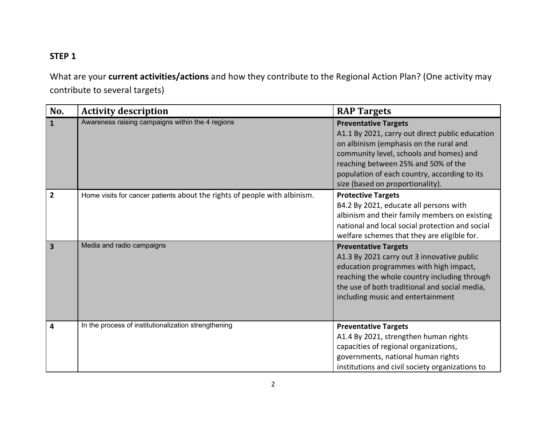### **STEP 1**

What are your **current activities/actions** and how they contribute to the Regional Action Plan? (One activity may contribute to several targets)

| No.                     | <b>Activity description</b>                                               | <b>RAP Targets</b>                                                                                                                                                                                                                                                                             |
|-------------------------|---------------------------------------------------------------------------|------------------------------------------------------------------------------------------------------------------------------------------------------------------------------------------------------------------------------------------------------------------------------------------------|
| $\mathbf{1}$            | Awareness raising campaigns within the 4 regions                          | <b>Preventative Targets</b><br>A1.1 By 2021, carry out direct public education<br>on albinism (emphasis on the rural and<br>community level, schools and homes) and<br>reaching between 25% and 50% of the<br>population of each country, according to its<br>size (based on proportionality). |
| $\overline{2}$          | Home visits for cancer patients about the rights of people with albinism. | <b>Protective Targets</b><br>B4.2 By 2021, educate all persons with<br>albinism and their family members on existing<br>national and local social protection and social<br>welfare schemes that they are eligible for.                                                                         |
| $\overline{\mathbf{3}}$ | Media and radio campaigns                                                 | <b>Preventative Targets</b><br>A1.3 By 2021 carry out 3 innovative public<br>education programmes with high impact,<br>reaching the whole country including through<br>the use of both traditional and social media,<br>including music and entertainment                                      |
| $\overline{\mathbf{4}}$ | In the process of institutionalization strengthening                      | <b>Preventative Targets</b><br>A1.4 By 2021, strengthen human rights<br>capacities of regional organizations,<br>governments, national human rights<br>institutions and civil society organizations to                                                                                         |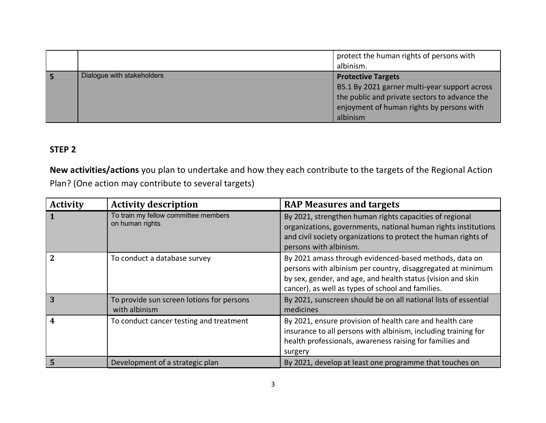|                            | protect the human rights of persons with<br>albinism.                                                                                                                                |
|----------------------------|--------------------------------------------------------------------------------------------------------------------------------------------------------------------------------------|
| Dialogue with stakeholders | <b>Protective Targets</b><br>B5.1 By 2021 garner multi-year support across<br>the public and private sectors to advance the<br>enjoyment of human rights by persons with<br>albinism |

### **STEP 2**

**New activities/actions** you plan to undertake and how they each contribute to the targets of the Regional Action Plan? (One action may contribute to several targets)

| <b>Activity</b>  | <b>Activity description</b>                                | <b>RAP Measures and targets</b>                                                                                                                                                                                                           |
|------------------|------------------------------------------------------------|-------------------------------------------------------------------------------------------------------------------------------------------------------------------------------------------------------------------------------------------|
|                  | To train my fellow committee members<br>on human rights    | By 2021, strengthen human rights capacities of regional<br>organizations, governments, national human rights institutions<br>and civil society organizations to protect the human rights of<br>persons with albinism.                     |
| $\overline{2}$   | To conduct a database survey                               | By 2021 amass through evidenced-based methods, data on<br>persons with albinism per country, disaggregated at minimum<br>by sex, gender, and age, and health status (vision and skin<br>cancer), as well as types of school and families. |
| 3                | To provide sun screen lotions for persons<br>with albinism | By 2021, sunscreen should be on all national lists of essential<br>medicines                                                                                                                                                              |
| $\boldsymbol{4}$ | To conduct cancer testing and treatment                    | By 2021, ensure provision of health care and health care<br>insurance to all persons with albinism, including training for<br>health professionals, awareness raising for families and<br>surgery                                         |
| 5                | Development of a strategic plan                            | By 2021, develop at least one programme that touches on                                                                                                                                                                                   |